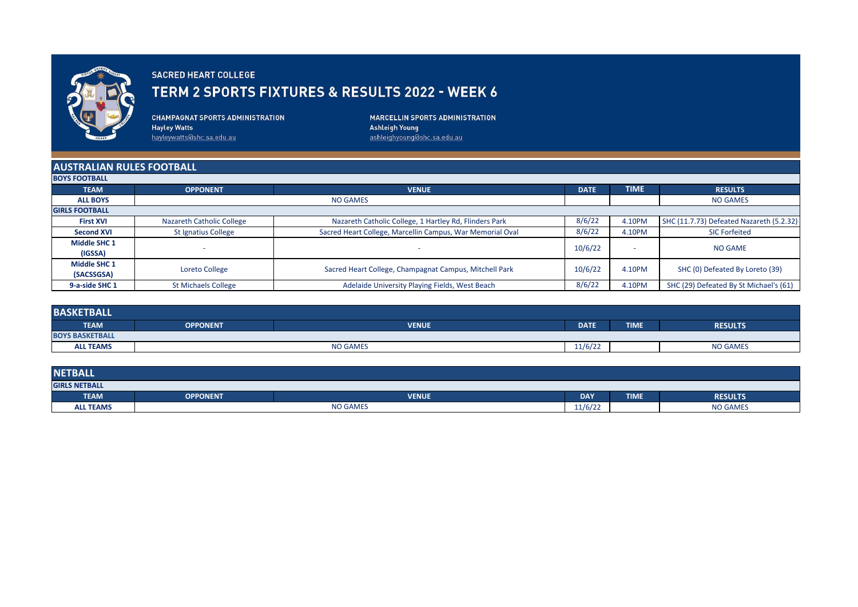

## **SACRED HEART COLLEGE**

## TERM 2 SPORTS FIXTURES & RESULTS 2022 - WEEK 6

**CHAMPAGNAT SPORTS ADMINISTRATION Hayley Watts** hayleywatts@shc.sa.edu.au

**MARCELLIN SPORTS ADMINISTRATION Ashleigh Young** ashleighyoung@shc.sa.edu.au

## **AUSTRALIAN RULES FOOTBALL**

| <b>BOYS FOOTBALL</b>              |                            |                                                           |             |             |                                          |  |
|-----------------------------------|----------------------------|-----------------------------------------------------------|-------------|-------------|------------------------------------------|--|
| <b>TEAM</b>                       | <b>OPPONENT</b>            | <b>VENUE</b>                                              | <b>DATE</b> | <b>TIME</b> | <b>RESULTS</b>                           |  |
| <b>ALL BOYS</b>                   | <b>NO GAMES</b>            |                                                           |             |             | <b>NO GAMES</b>                          |  |
| <b>GIRLS FOOTBALL</b>             |                            |                                                           |             |             |                                          |  |
| <b>First XVI</b>                  | Nazareth Catholic College  | Nazareth Catholic College, 1 Hartley Rd, Flinders Park    | 8/6/22      | 4.10PM      | SHC (11.7.73) Defeated Nazareth (5.2.32) |  |
| <b>Second XVI</b>                 | <b>St Ignatius College</b> | Sacred Heart College, Marcellin Campus, War Memorial Oval | 8/6/22      | 4.10PM      | <b>SIC Forfeited</b>                     |  |
| <b>Middle SHC 1</b><br>(IGSSA)    |                            |                                                           | 10/6/22     |             | <b>NO GAME</b>                           |  |
| <b>Middle SHC 1</b><br>(SACSSGSA) | Loreto College             | Sacred Heart College, Champagnat Campus, Mitchell Park    | 10/6/22     | 4.10PM      | SHC (0) Defeated By Loreto (39)          |  |
| 9-a-side SHC 1                    | <b>St Michaels College</b> | Adelaide University Playing Fields, West Beach            | 8/6/22      | 4.10PM      | SHC (29) Defeated By St Michael's (61)   |  |

| <b>BASKETBALL</b>      |                 |              |             |             |                 |  |  |
|------------------------|-----------------|--------------|-------------|-------------|-----------------|--|--|
| <b>TEAM</b>            | <b>OPPONENT</b> | <b>VENUE</b> | <b>DATE</b> | <b>TIME</b> | <b>RESULTS</b>  |  |  |
| <b>BOYS BASKETBALL</b> |                 |              |             |             |                 |  |  |
| <b>ALL TEAMS</b>       | <b>NO GAMES</b> |              | 11/6/22     |             | <b>NO GAMES</b> |  |  |

| <b>NETBALL</b>       |                 |              |            |             |                 |  |  |
|----------------------|-----------------|--------------|------------|-------------|-----------------|--|--|
| <b>GIRLS NETBALL</b> |                 |              |            |             |                 |  |  |
| <b>TEAM</b>          | <b>OPPONENT</b> | <b>VENUE</b> | <b>DAY</b> | <b>TIME</b> | <b>RESULTS</b>  |  |  |
| <b>ALL TEAMS</b>     | <b>NO GAMES</b> |              | 11/6/22    |             | <b>NO GAMES</b> |  |  |